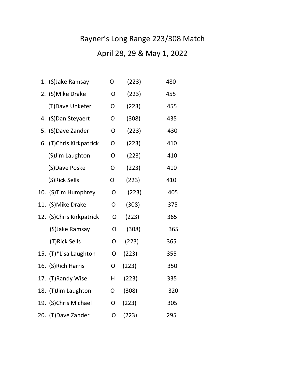## Rayner's Long Range 223/308 Match

## April 28, 29 & May 1, 2022

| 1. (S) Jake Ramsay       | O              | (223) | 480 |
|--------------------------|----------------|-------|-----|
| 2. (S) Mike Drake        | O              | (223) | 455 |
| (T) Dave Unkefer         | O              | (223) | 455 |
| 4. (S) Dan Steyaert      | O              | (308) | 435 |
| 5. (S) Dave Zander       | O              | (223) | 430 |
| 6. (T)Chris Kirkpatrick  | 0              | (223) | 410 |
| (S) Jim Laughton         | O              | (223) | 410 |
| (S)Dave Poske            | O              | (223) | 410 |
| (S)Rick Sells            | O              | (223) | 410 |
| 10. (S) Tim Humphrey     | O              | (223) | 405 |
| 11. (S) Mike Drake       | O              | (308) | 375 |
| 12. (S)Chris Kirkpatrick | O              | (223) | 365 |
| (S) Jake Ramsay          | O              | (308) | 365 |
| (T)Rick Sells            | $\overline{O}$ | (223) | 365 |
| 15. (T)*Lisa Laughton    | O              | (223) | 355 |
| 16. (S) Rich Harris      | O              | (223) | 350 |
| 17. (T)Randy Wise        | Н              | (223) | 335 |
| 18. (T) Jim Laughton     | O              | (308) | 320 |
| 19. (S)Chris Michael     | O              | (223) | 305 |
| 20. (T) Dave Zander      | O              | (223) | 295 |